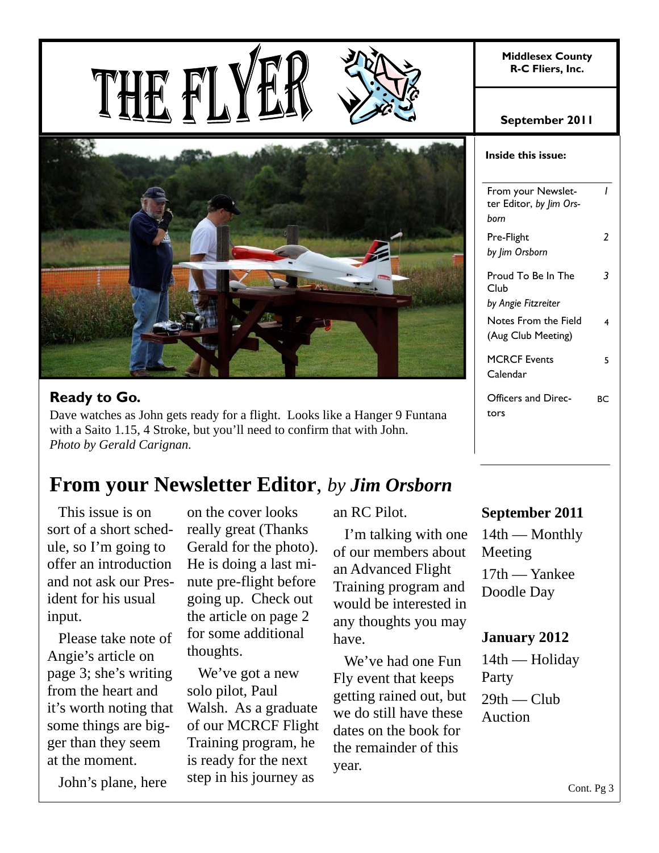**Middlesex County R-C Fliers, Inc.** 





## **Ready to Go.**

Dave watches as John gets ready for a flight. Looks like a Hanger 9 Funtana with a Saito 1.15, 4 Stroke, but you'll need to confirm that with John. *Photo by Gerald Carignan.*

# **From your Newsletter Editor**, *by Jim Orsborn*

 This issue is on sort of a short schedule, so I'm going to offer an introduction and not ask our President for his usual input.

 Please take note of Angie's article on page 3; she's writing from the heart and it's worth noting that some things are bigger than they seem at the moment.

John's plane, here

on the cover looks really great (Thanks Gerald for the photo). He is doing a last minute pre-flight before going up. Check out the article on page 2 for some additional thoughts.

 We've got a new solo pilot, Paul Walsh. As a graduate of our MCRCF Flight Training program, he is ready for the next step in his journey as

an RC Pilot.

 I'm talking with one of our members about an Advanced Flight Training program and would be interested in any thoughts you may have.

 We've had one Fun Fly event that keeps getting rained out, but we do still have these dates on the book for the remainder of this year.

#### **September 2011**

| Inside this issue:                                    |    |
|-------------------------------------------------------|----|
| From your Newslet-<br>ter Editor, by Jim Ors-<br>born | ı  |
| Pre-Flight<br>by Jim Orsborn                          | 7  |
| Proud To Be In The<br>Club<br>by Angie Fitzreiter     |    |
| Notes From the Field<br>(Aug Club Meeting)            | 4  |
| <b>MCRCF Events</b><br>Calendar                       | 5  |
| Officers and Direc-<br>tors                           | RС |

### **September 2011**

14th — Monthly Meeting 17th — Yankee Doodle Day

### **January 2012**

14th — Holiday Party  $29th$  — Club

Auction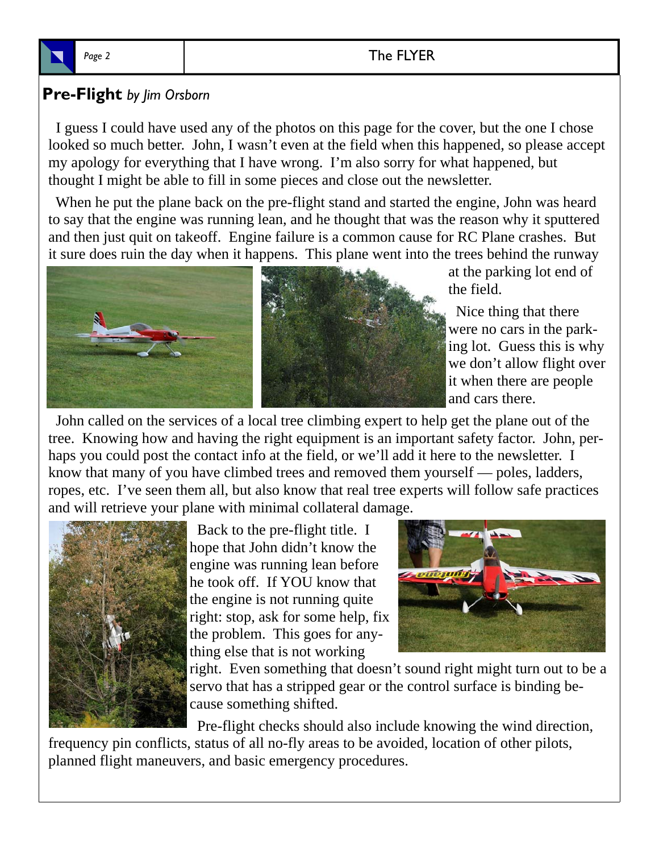## Page 2 and 2 and 2 and 2 and 2 and 2 and 2 and 2 and 2 and 2 and 2 and 2 and 2 and 2 and 2 and 2 and 2 and 2 and 2 and 2 and 2 and 2 and 2 and 2 and 2 and 2 and 2 and 2 and 2 and 2 and 2 and 2 and 2 and 2 and 2 and 2 and 2

## **Pre-Flight** *by Jim Orsborn*

 I guess I could have used any of the photos on this page for the cover, but the one I chose looked so much better. John, I wasn't even at the field when this happened, so please accept my apology for everything that I have wrong. I'm also sorry for what happened, but thought I might be able to fill in some pieces and close out the newsletter.

 When he put the plane back on the pre-flight stand and started the engine, John was heard to say that the engine was running lean, and he thought that was the reason why it sputtered and then just quit on takeoff. Engine failure is a common cause for RC Plane crashes. But it sure does ruin the day when it happens. This plane went into the trees behind the runway



at the parking lot end of the field.

 Nice thing that there were no cars in the parking lot. Guess this is why we don't allow flight over it when there are people and cars there.

 John called on the services of a local tree climbing expert to help get the plane out of the tree. Knowing how and having the right equipment is an important safety factor. John, perhaps you could post the contact info at the field, or we'll add it here to the newsletter. I know that many of you have climbed trees and removed them yourself — poles, ladders, ropes, etc. I've seen them all, but also know that real tree experts will follow safe practices and will retrieve your plane with minimal collateral damage.



 Back to the pre-flight title. I hope that John didn't know the engine was running lean before he took off. If YOU know that the engine is not running quite right: stop, ask for some help, fix the problem. This goes for anything else that is not working



right. Even something that doesn't sound right might turn out to be a servo that has a stripped gear or the control surface is binding because something shifted.

Pre-flight checks should also include knowing the wind direction,

frequency pin conflicts, status of all no-fly areas to be avoided, location of other pilots, planned flight maneuvers, and basic emergency procedures.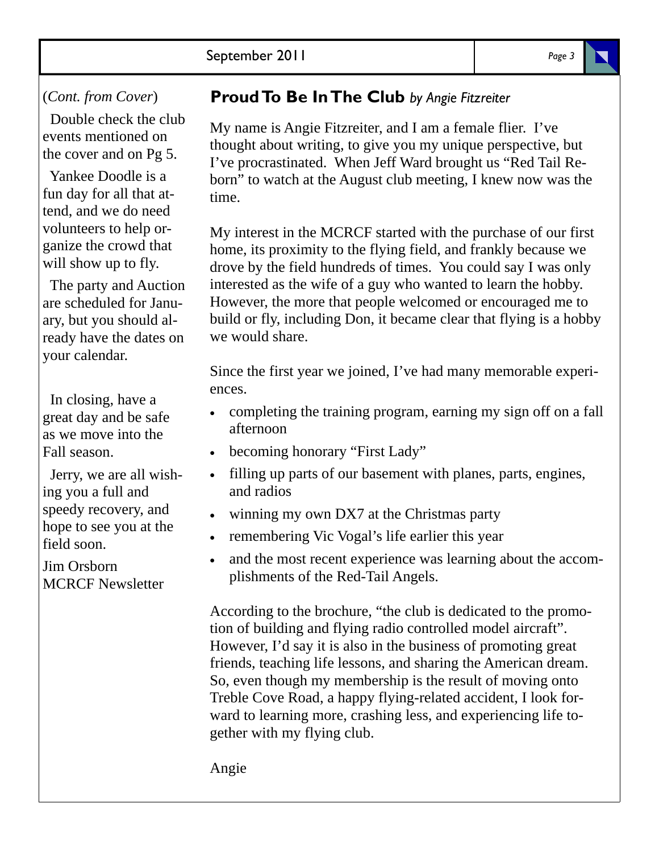### (*Cont. from Cover*)

 Double check the club events mentioned on the cover and on Pg 5.

 Yankee Doodle is a fun day for all that attend, and we do need volunteers to help organize the crowd that will show up to fly.

 The party and Auction are scheduled for January, but you should already have the dates on your calendar.

 In closing, have a great day and be safe as we move into the Fall season.

 Jerry, we are all wishing you a full and speedy recovery, and hope to see you at the field soon.

Jim Orsborn MCRCF Newsletter

## **Proud To Be In The Club** *by Angie Fitzreiter*

My name is Angie Fitzreiter, and I am a female flier. I've thought about writing, to give you my unique perspective, but I've procrastinated. When Jeff Ward brought us "Red Tail Reborn" to watch at the August club meeting, I knew now was the time.

My interest in the MCRCF started with the purchase of our first home, its proximity to the flying field, and frankly because we drove by the field hundreds of times. You could say I was only interested as the wife of a guy who wanted to learn the hobby. However, the more that people welcomed or encouraged me to build or fly, including Don, it became clear that flying is a hobby we would share.

Since the first year we joined, I've had many memorable experiences.

- completing the training program, earning my sign off on a fall afternoon
- becoming honorary "First Lady"
- filling up parts of our basement with planes, parts, engines, and radios
- winning my own DX7 at the Christmas party
- remembering Vic Vogal's life earlier this year
- and the most recent experience was learning about the accomplishments of the Red-Tail Angels.

According to the brochure, "the club is dedicated to the promotion of building and flying radio controlled model aircraft". However, I'd say it is also in the business of promoting great friends, teaching life lessons, and sharing the American dream. So, even though my membership is the result of moving onto Treble Cove Road, a happy flying-related accident, I look forward to learning more, crashing less, and experiencing life together with my flying club.

Angie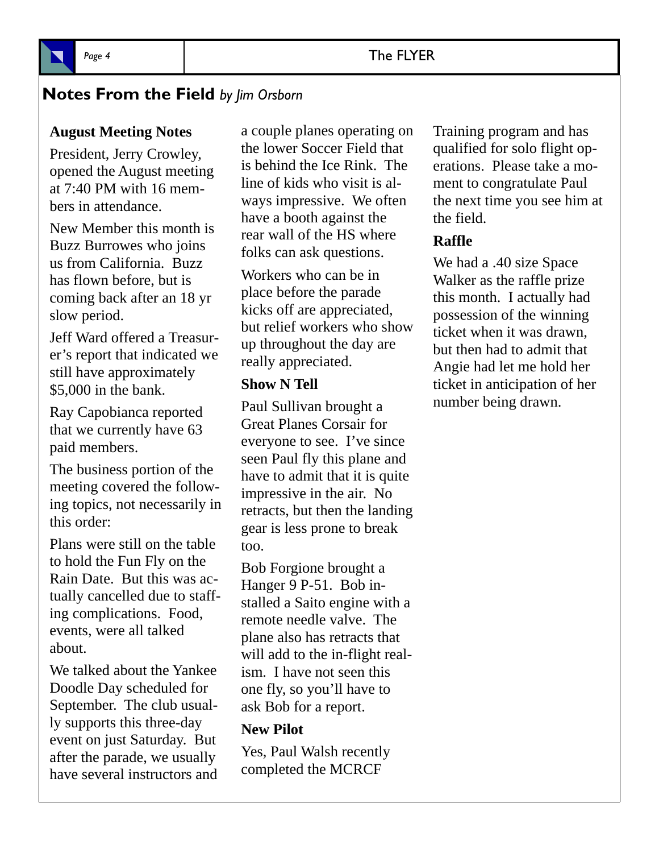## Page 4 **The FLYER**



## **Notes From the Field** *by Jim Orsborn*

#### **August Meeting Notes**

President, Jerry Crowley, opened the August meeting at 7:40 PM with 16 members in attendance.

New Member this month is Buzz Burrowes who joins us from California. Buzz has flown before, but is coming back after an 18 yr slow period.

Jeff Ward offered a Treasurer's report that indicated we still have approximately \$5,000 in the bank.

Ray Capobianca reported that we currently have 63 paid members.

The business portion of the meeting covered the following topics, not necessarily in this order:

Plans were still on the table to hold the Fun Fly on the Rain Date. But this was actually cancelled due to staffing complications. Food, events, were all talked about.

We talked about the Yankee Doodle Day scheduled for September. The club usually supports this three-day event on just Saturday. But after the parade, we usually have several instructors and a couple planes operating on the lower Soccer Field that is behind the Ice Rink. The line of kids who visit is always impressive. We often have a booth against the rear wall of the HS where folks can ask questions.

Workers who can be in place before the parade kicks off are appreciated, but relief workers who show up throughout the day are really appreciated.

#### **Show N Tell**

Paul Sullivan brought a Great Planes Corsair for everyone to see. I've since seen Paul fly this plane and have to admit that it is quite impressive in the air. No retracts, but then the landing gear is less prone to break too.

Bob Forgione brought a Hanger 9 P-51. Bob installed a Saito engine with a remote needle valve. The plane also has retracts that will add to the in-flight realism. I have not seen this one fly, so you'll have to ask Bob for a report.

#### **New Pilot**

Yes, Paul Walsh recently completed the MCRCF

Training program and has qualified for solo flight operations. Please take a moment to congratulate Paul the next time you see him at the field.

#### **Raffle**

We had a .40 size Space Walker as the raffle prize this month. I actually had possession of the winning ticket when it was drawn, but then had to admit that Angie had let me hold her ticket in anticipation of her number being drawn.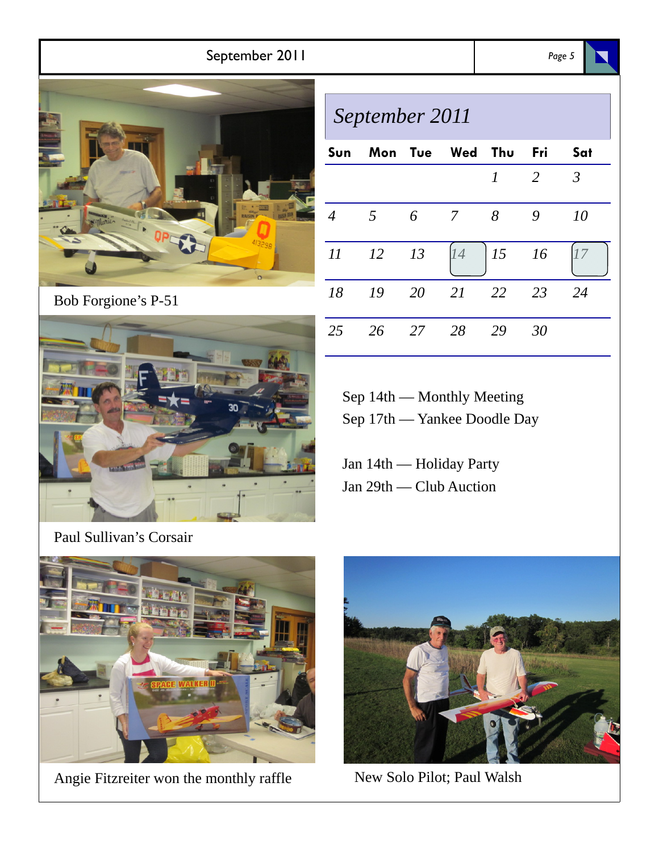## September 2011 *Page 5*



Bob Forgione's P-51



| September 2011 |     |               |                 |              |      |         |  |
|----------------|-----|---------------|-----------------|--------------|------|---------|--|
| Sun            |     |               | Mon Tue Wed Thu |              | Fri  | Sat     |  |
|                |     |               |                 | $\mathcal I$ | 2    | $\beta$ |  |
| $\overline{4}$ | .5  | 6             | - 7             | 8            | 9    | 10      |  |
| 11             | 12  | 13            | 14              | 15           | - 16 |         |  |
| 18             | -19 | <sup>20</sup> | 21              | 22           | - 23 | 24      |  |
| 25             | 26  | 27            | 28              | 29           | 30   |         |  |

Sep 14th — Monthly Meeting Sep 17th — Yankee Doodle Day

Jan 14th — Holiday Party Jan 29th — Club Auction

Paul Sullivan's Corsair



Angie Fitzreiter won the monthly raffle New Solo Pilot; Paul Walsh